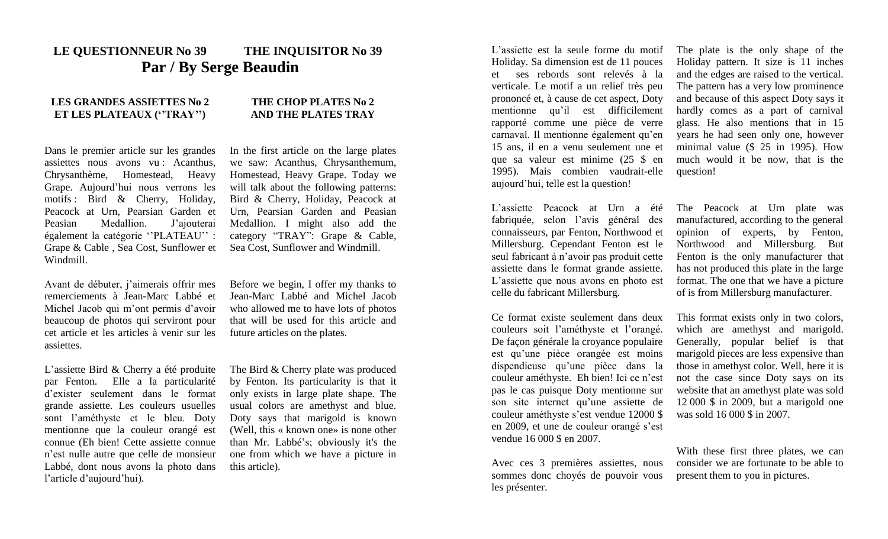## **LE QUESTIONNEUR No 39 THE INQUISITOR No 39 Par / By Serge Beaudin**

## **LES GRANDES ASSIETTES No 2 ET LES PLATEAUX (''TRAY'')**

## **THE CHOP PLATES No 2 AND THE PLATES TRAY**

Dans le premier article sur les grandes assiettes nous avons vu : Acanthus, Chrysanthème, Homestead, Heavy Grape. Aujourd'hui nous verrons les motifs : Bird & Cherry, Holiday, Peacock at Urn, Pearsian Garden et Peasian Medallion. J'ajouterai également la catégorie ''PLATEAU'' : Grape & Cable , Sea Cost, Sunflower et Windmill.

In the first article on the large plates we saw: Acanthus, Chrysanthemum, Homestead, Heavy Grape. Today we will talk about the following patterns: Bird & Cherry, Holiday, Peacock at Urn, Pearsian Garden and Peasian Medallion. I might also add the category "TRAY": Grape & Cable, Sea Cost, Sunflower and Windmill.

Avant de débuter, j'aimerais offrir mes remerciements à Jean-Marc Labbé et Michel Jacob qui m'ont permis d'avoir beaucoup de photos qui serviront pour cet article et les articles à venir sur les assiettes.

L'assiette Bird & Cherry a été produite par Fenton. Elle a la particularité d'exister seulement dans le format grande assiette. Les couleurs usuelles sont l'améthyste et le bleu. Doty mentionne que la couleur orangé est connue (Eh bien! Cette assiette connue n'est nulle autre que celle de monsieur Labbé, dont nous avons la photo dans l'article d'aujourd'hui).

Before we begin, I offer my thanks to Jean-Marc Labbé and Michel Jacob who allowed me to have lots of photos that will be used for this article and future articles on the plates.

The Bird & Cherry plate was produced by Fenton. Its particularity is that it only exists in large plate shape. The usual colors are amethyst and blue. Doty says that marigold is known (Well, this « known one» is none other than Mr. Labbé's; obviously it's the one from which we have a picture in this article).

L'assiette est la seule forme du motif Holiday. Sa dimension est de 11 pouces et ses rebords sont relevés à la verticale. Le motif a un relief très peu prononcé et, à cause de cet aspect, Doty mentionne qu'il est difficilement rapporté comme une pièce de verre carnaval. Il mentionne également qu'en 15 ans, il en a venu seulement une et que sa valeur est minime (25 \$ en 1995). Mais combien vaudrait-elle aujourd'hui, telle est la question!

L'assiette Peacock at Urn a été fabriquée, selon l'avis général des connaisseurs, par Fenton, Northwood et Millersburg. Cependant Fenton est le seul fabricant à n'avoir pas produit cette assiette dans le format grande assiette. L'assiette que nous avons en photo est celle du fabricant Millersburg.

Ce format existe seulement dans deux couleurs soit l'améthyste et l'orangé. De façon générale la croyance populaire est qu'une pièce orangée est moins dispendieuse qu'une pièce dans la couleur améthyste. Eh bien! Ici ce n'est pas le cas puisque Doty mentionne sur son site internet qu'une assiette de couleur améthyste s'est vendue 12000 \$ en 2009, et une de couleur orangé s'est vendue 16 000 \$ en 2007.

Avec ces 3 premières assiettes, nous sommes donc choyés de pouvoir vous les présenter.

The plate is the only shape of the Holiday pattern. It size is 11 inches and the edges are raised to the vertical. The pattern has a very low prominence and because of this aspect Doty says it hardly comes as a part of carnival glass. He also mentions that in 15 years he had seen only one, however minimal value (\$ 25 in 1995). How much would it be now, that is the question!

The Peacock at Urn plate was manufactured, according to the general opinion of experts, by Fenton, Northwood and Millersburg. But Fenton is the only manufacturer that has not produced this plate in the large format. The one that we have a picture of is from Millersburg manufacturer.

This format exists only in two colors, which are amethyst and marigold. Generally, popular belief is that marigold pieces are less expensive than those in amethyst color. Well, here it is not the case since Doty says on its website that an amethyst plate was sold 12 000 \$ in 2009, but a marigold one was sold 16 000 \$ in 2007.

With these first three plates, we can consider we are fortunate to be able to present them to you in pictures.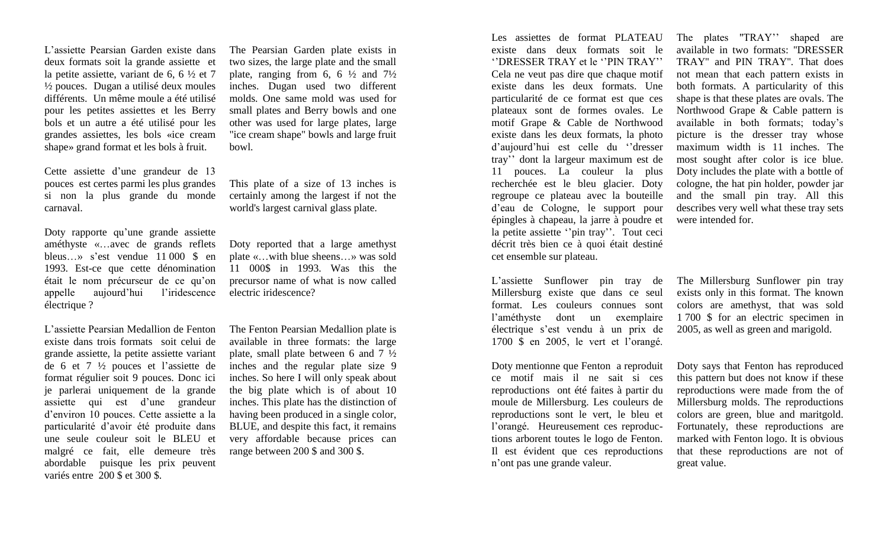L'assiette Pearsian Garden existe dans deux formats soit la grande assiette et la petite assiette, variant de  $6, 6 \frac{1}{2}$  et 7 ½ pouces. Dugan a utilisé deux moules différents. Un même moule a été utilisé pour les petites assiettes et les Berry bols et un autre a été utilisé pour les grandes assiettes, les bols «ice cream shape» grand format et les bols à fruit.

Cette assiette d'une grandeur de 13 pouces est certes parmi les plus grandes si non la plus grande du monde carnaval.

Doty rapporte qu'une grande assiette améthyste «…avec de grands reflets bleus…» s'est vendue 11 000 \$ en 1993. Est-ce que cette dénomination était le nom précurseur de ce qu'on appelle aujourd'hui l'iridescence électrique ?

L'assiette Pearsian Medallion de Fenton existe dans trois formats soit celui de grande assiette, la petite assiette variant de 6 et 7 ½ pouces et l'assiette de format régulier soit 9 pouces. Donc ici je parlerai uniquement de la grande assiette qui est d'une grandeur d'environ 10 pouces. Cette assiette a la particularité d'avoir été produite dans une seule couleur soit le BLEU et malgré ce fait, elle demeure très abordable puisque les prix peuvent variés entre 200 \$ et 300 \$.

The Pearsian Garden plate exists in two sizes, the large plate and the small plate, ranging from 6, 6  $\frac{1}{2}$  and  $\frac{7\frac{1}{2}}{2}$ inches. Dugan used two different molds. One same mold was used for small plates and Berry bowls and one other was used for large plates, large "ice cream shape" bowls and large fruit bowl.

This plate of a size of 13 inches is certainly among the largest if not the world's largest carnival glass plate.

Doty reported that a large amethyst plate «…with blue sheens…» was sold 11 000\$ in 1993. Was this the precursor name of what is now called electric iridescence?

The Fenton Pearsian Medallion plate is available in three formats: the large plate, small plate between 6 and 7 ½ inches and the regular plate size 9 inches. So here I will only speak about the big plate which is of about 10 inches. This plate has the distinction of having been produced in a single color, BLUE, and despite this fact, it remains very affordable because prices can range between 200 \$ and 300 \$.

Les assiettes de format PLATEAU existe dans deux formats soit le ''DRESSER TRAY et le ''PIN TRAY'' Cela ne veut pas dire que chaque motif existe dans les deux formats. Une particularité de ce format est que ces plateaux sont de formes ovales. Le motif Grape & Cable de Northwood existe dans les deux formats, la photo d'aujourd'hui est celle du ''dresser tray'' dont la largeur maximum est de 11 pouces. La couleur la plus recherchée est le bleu glacier. Doty regroupe ce plateau avec la bouteille d'eau de Cologne, le support pour épingles à chapeau, la jarre à poudre et la petite assiette ''pin tray''. Tout ceci décrit très bien ce à quoi était destiné cet ensemble sur plateau.

L'assiette Sunflower pin tray de Millersburg existe que dans ce seul format. Les couleurs connues sont l'améthyste dont un exemplaire électrique s'est vendu à un prix de 1700 \$ en 2005, le vert et l'orangé.

Doty mentionne que Fenton a reproduit ce motif mais il ne sait si ces reproductions ont été faites à partir du moule de Millersburg. Les couleurs de reproductions sont le vert, le bleu et l'orangé. Heureusement ces reproductions arborent toutes le logo de Fenton. Il est évident que ces reproductions n'ont pas une grande valeur.

The plates "TRAY" shaped are available in two formats: ''DRESSER TRAY'' and PIN TRAY''. That does not mean that each pattern exists in both formats. A particularity of this shape is that these plates are ovals. The Northwood Grape & Cable pattern is available in both formats; today's picture is the dresser tray whose maximum width is 11 inches. The most sought after color is ice blue. Doty includes the plate with a bottle of cologne, the hat pin holder, powder jar and the small pin tray. All this describes very well what these tray sets were intended for.

The Millersburg Sunflower pin tray exists only in this format. The known colors are amethyst, that was sold 1 700 \$ for an electric specimen in 2005, as well as green and marigold.

Doty says that Fenton has reproduced this pattern but does not know if these reproductions were made from the of Millersburg molds. The reproductions colors are green, blue and maritgold. Fortunately, these reproductions are marked with Fenton logo. It is obvious that these reproductions are not of great value.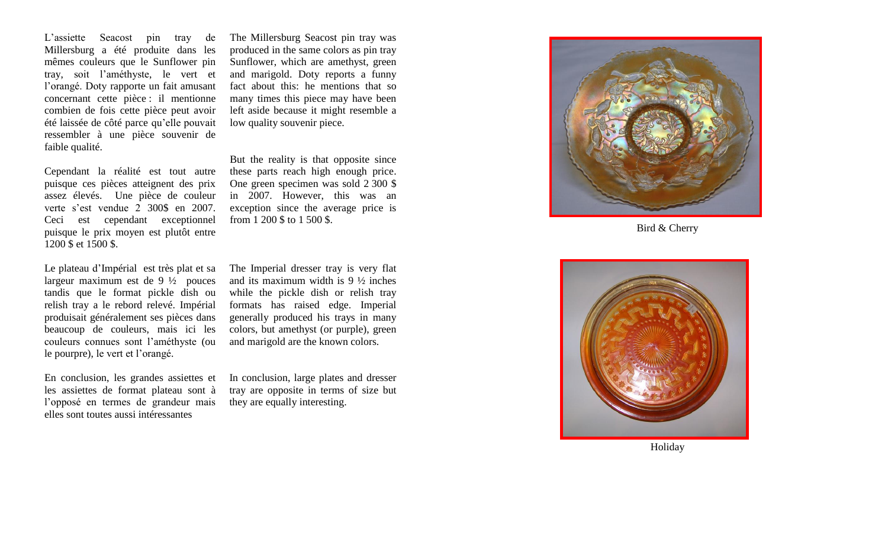L'assiette Seacost pin tray de Millersburg a été produite dans les m êmes couleur s que le Sunflower pin tray , soit l'améthyste, le vert et l'orangé. Doty rapporte un fait amusant concernant cette pièce : il mentionne co mbien de fois cette pièce peut avoir été laissée de côté parce qu'elle pouvait ressembler à une pièce souvenir de faible qualité.

Cependant la réalité est tout autre puisque ces pièces atteignent des prix assez élevés. Une pièce de couleur verte s'est vendue 2 300\$ en 2007. Ceci est cependant exceptionnel puisque le prix moyen est plutôt entre 1200 \$ et 1500 \$.

Le plateau d'Imp érial est très plat et sa largeur maximum est de 9 ½ pouces tandis que le format pickle dish ou relish tray a le rebord relevé. Imp érial produisait généralement ses pièces dans beaucoup de couleurs, mais ici les couleurs connues sont l'améthyste (ou le pourpre), le vert et l'orangé .

En conclusion, les grandes assiettes et les assiettes de format plateau sont à l'opposé en termes de grandeur mais elles sont toutes aussi intéressantes

The Millersburg Seacost pin tray was produced in the same colors as pin tray Sunflower, which are amethyst, green and marigold. Doty reports a funny fact about this: he mentions that so many times this piece may have been left aside because it might resemble a low quality souvenir piece.

But the reality is that opposite since these parts reach high enough price. One green specimen was sold 2 300 \$ in 2007. However, this was an exception since the average price is from 1 200 \$ to 1 500 \$.

The Imperial dresser tray is very flat and its maximum width is 9 ½ inches while the pickle dish or relish tray formats has raised edge. Imperial generally produced his trays in many colors, but amethyst (or purple), green and marigold are the known colors.

In conclusion, large plates and dresser tray are opposite in terms of size but they are equally interesting .



Bird & Cherry



Holiday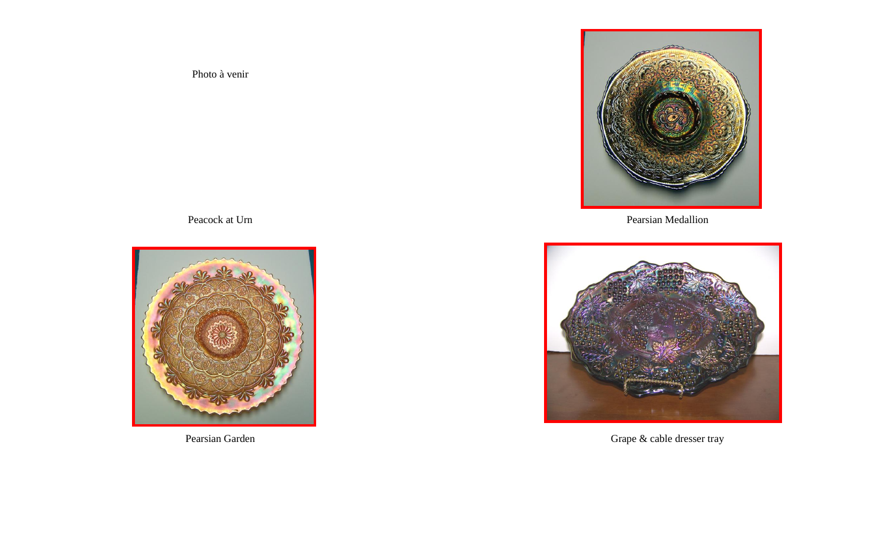Photo à venir

Peacock at Urn



Pearsian Garden



Pearsian Medallion



Grape & cable dresser tray